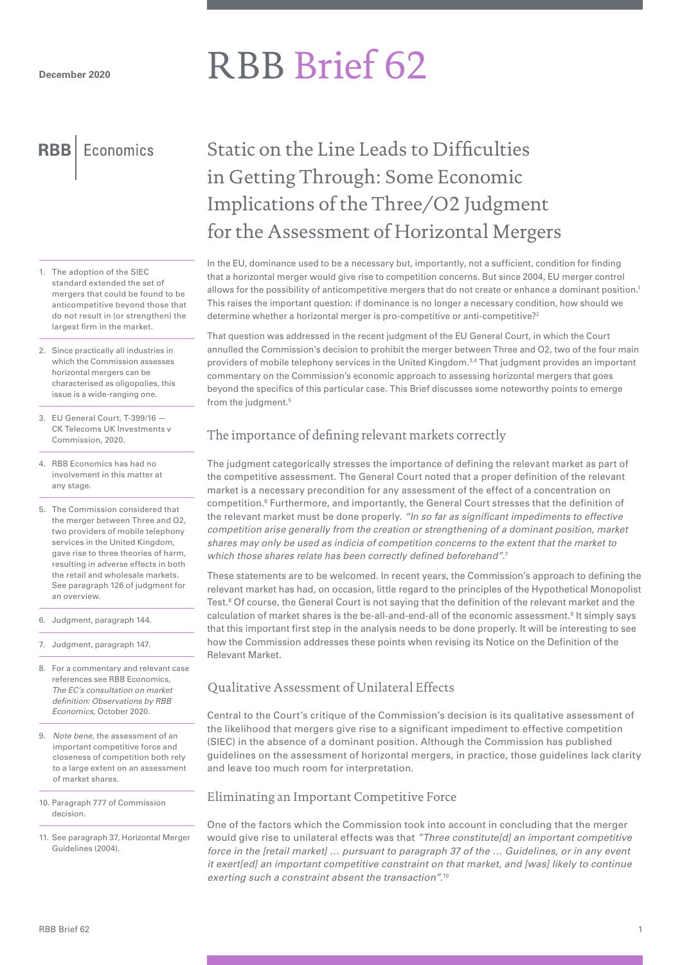# RBB Brief 62

**RBB** Economics

- 1. The adoption of the SIEC standard extended the set of mergers that could be found to be anticompetitive beyond those that do not result in (or strengthen) the largest firm in the market.
- 2. Since practically all industries in which the Commission assesses horizontal mergers can be characterised as oligopolies, this issue is a wide-ranging one.
- 3. EU General Court, T-399/16 CK Telecoms UK Investments v Commission, 2020.
- 4. RBB Economics has had no involvement in this matter at any stage.
- 5. The Commission considered that the merger between Three and O2, two providers of mobile telephony services in the United Kingdom, gave rise to three theories of harm, resulting in adverse effects in both the retail and wholesale markets. See paragraph 126 of judgment for an overview.
- 6. Judgment, paragraph 144.
- 7. Judgment, paragraph 147.
- 8. For a commentary and relevant case references see RBB Economics, *The EC's consultation on market definition: Observations by RBB Economics,* October 2020.
- 9. *Note bene,* the assessment of an important competitive force and closeness of competition both rely to a large extent on an assessment of market shares.
- 10. Paragraph 777 of Commission decision.
- 11. See paragraph 37, Horizontal Merger Guidelines (2004).

# Static on the Line Leads to Difficulties in Getting Through: Some Economic Implications of the Three/O2 Judgment for the Assessment of Horizontal Mergers

In the EU, dominance used to be a necessary but, importantly, not a sufficient, condition for finding that a horizontal merger would give rise to competition concerns. But since 2004, EU merger control allows for the possibility of anticompetitive mergers that do not create or enhance a dominant position.1 This raises the important question: if dominance is no longer a necessary condition, how should we determine whether a horizontal merger is pro-competitive or anti-competitive?<sup>2</sup>

That question was addressed in the recent judgment of the EU General Court, in which the Court annulled the Commission's decision to prohibit the merger between Three and O2, two of the four main providers of mobile telephony services in the United Kingdom.<sup>3,4</sup> That judgment provides an important commentary on the Commission's economic approach to assessing horizontal mergers that goes beyond the specifics of this particular case. This Brief discusses some noteworthy points to emerge from the judgment.<sup>5</sup>

# The importance of defining relevant markets correctly

The judgment categorically stresses the importance of defining the relevant market as part of the competitive assessment. The General Court noted that a proper definition of the relevant market is a necessary precondition for any assessment of the effect of a concentration on competition.<sup>6</sup> Furthermore, and importantly, the General Court stresses that the definition of the relevant market must be done properly. *"In so far as significant impediments to effective competition arise generally from the creation or strengthening of a dominant position, market shares may only be used as indicia of competition concerns to the extent that the market to which those shares relate has been correctly defined beforehand".* 7

These statements are to be welcomed. In recent years, the Commission's approach to defining the relevant market has had, on occasion, little regard to the principles of the Hypothetical Monopolist Test.8 Of course, the General Court is not saying that the definition of the relevant market and the calculation of market shares is the be-all-and-end-all of the economic assessment.<sup>9</sup> It simply says that this important first step in the analysis needs to be done properly. It will be interesting to see how the Commission addresses these points when revising its Notice on the Definition of the Relevant Market.

# Qualitative Assessment of Unilateral Effects

Central to the Court's critique of the Commission's decision is its qualitative assessment of the likelihood that mergers give rise to a significant impediment to effective competition (SIEC) in the absence of a dominant position. Although the Commission has published guidelines on the assessment of horizontal mergers, in practice, those guidelines lack clarity and leave too much room for interpretation.

## Eliminating an Important Competitive Force

One of the factors which the Commission took into account in concluding that the merger would give rise to unilateral effects was that *"Three constitute[d] an important competitive force in the [retail market] … pursuant to paragraph 37 of the … Guidelines, or in any event it exert[ed] an important competitive constraint on that market, and [was] likely to continue exerting such a constraint absent the transaction".*<sup>10</sup>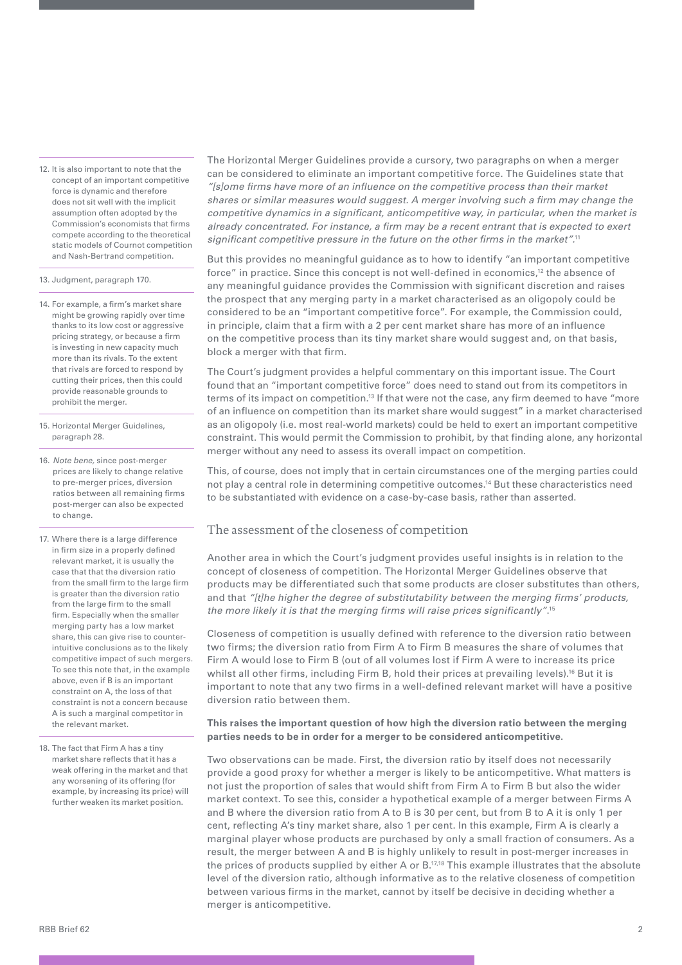12. It is also important to note that the concept of an important competitive force is dynamic and therefore does not sit well with the implicit assumption often adopted by the Commission's economists that firms compete according to the theoretical static models of Cournot competition and Nash-Bertrand competition.

13. Judgment, paragraph 170.

- 14. For example, a firm's market share might be growing rapidly over time thanks to its low cost or aggressive pricing strategy, or because a firm is investing in new capacity much more than its rivals. To the extent that rivals are forced to respond by cutting their prices, then this could provide reasonable grounds to prohibit the merger.
- 15. Horizontal Merger Guidelines, paragraph 28.
- 16. *Note bene,* since post-merger prices are likely to change relative to pre-merger prices, diversion ratios between all remaining firms post-merger can also be expected to change.
- 17. Where there is a large difference in firm size in a properly defined relevant market, it is usually the case that that the diversion ratio from the small firm to the large firm is greater than the diversion ratio from the large firm to the small firm. Especially when the smaller merging party has a low market share, this can give rise to counterintuitive conclusions as to the likely competitive impact of such mergers. To see this note that, in the example above, even if B is an important constraint on A, the loss of that constraint is not a concern because A is such a marginal competitor in the relevant market.
- 18. The fact that Firm A has a tiny market share reflects that it has a weak offering in the market and that any worsening of its offering (for example, by increasing its price) will further weaken its market position.

The Horizontal Merger Guidelines provide a cursory, two paragraphs on when a merger can be considered to eliminate an important competitive force. The Guidelines state that *"[s]ome firms have more of an influence on the competitive process than their market shares or similar measures would suggest. A merger involving such a firm may change the competitive dynamics in a significant, anticompetitive way, in particular, when the market is already concentrated. For instance, a firm may be a recent entrant that is expected to exert significant competitive pressure in the future on the other firms in the market".*<sup>11</sup>

But this provides no meaningful guidance as to how to identify "an important competitive force" in practice. Since this concept is not well-defined in economics,<sup>12</sup> the absence of any meaningful guidance provides the Commission with significant discretion and raises the prospect that any merging party in a market characterised as an oligopoly could be considered to be an "important competitive force". For example, the Commission could, in principle, claim that a firm with a 2 per cent market share has more of an influence on the competitive process than its tiny market share would suggest and, on that basis, block a merger with that firm.

The Court's judgment provides a helpful commentary on this important issue. The Court found that an "important competitive force" does need to stand out from its competitors in terms of its impact on competition.<sup>13</sup> If that were not the case, any firm deemed to have "more of an influence on competition than its market share would suggest" in a market characterised as an oligopoly (i.e. most real-world markets) could be held to exert an important competitive constraint. This would permit the Commission to prohibit, by that finding alone, any horizontal merger without any need to assess its overall impact on competition.

This, of course, does not imply that in certain circumstances one of the merging parties could not play a central role in determining competitive outcomes.14 But these characteristics need to be substantiated with evidence on a case-by-case basis, rather than asserted.

#### The assessment of the closeness of competition

Another area in which the Court's judgment provides useful insights is in relation to the concept of closeness of competition. The Horizontal Merger Guidelines observe that products may be differentiated such that some products are closer substitutes than others, and that *"[t]he higher the degree of substitutability between the merging firms' products, the more likely it is that the merging firms will raise prices significantly"*. 15

Closeness of competition is usually defined with reference to the diversion ratio between two firms; the diversion ratio from Firm A to Firm B measures the share of volumes that Firm A would lose to Firm B (out of all volumes lost if Firm A were to increase its price whilst all other firms, including Firm B, hold their prices at prevailing levels).<sup>16</sup> But it is important to note that any two firms in a well-defined relevant market will have a positive diversion ratio between them.

#### **This raises the important question of how high the diversion ratio between the merging parties needs to be in order for a merger to be considered anticompetitive.**

Two observations can be made. First, the diversion ratio by itself does not necessarily provide a good proxy for whether a merger is likely to be anticompetitive. What matters is not just the proportion of sales that would shift from Firm A to Firm B but also the wider market context. To see this, consider a hypothetical example of a merger between Firms A and B where the diversion ratio from A to B is 30 per cent, but from B to A it is only 1 per cent, reflecting A's tiny market share, also 1 per cent. In this example, Firm A is clearly a marginal player whose products are purchased by only a small fraction of consumers. As a result, the merger between A and B is highly unlikely to result in post-merger increases in the prices of products supplied by either A or  $B<sub>1</sub><sup>17,18</sup>$  This example illustrates that the absolute level of the diversion ratio, although informative as to the relative closeness of competition between various firms in the market, cannot by itself be decisive in deciding whether a merger is anticompetitive.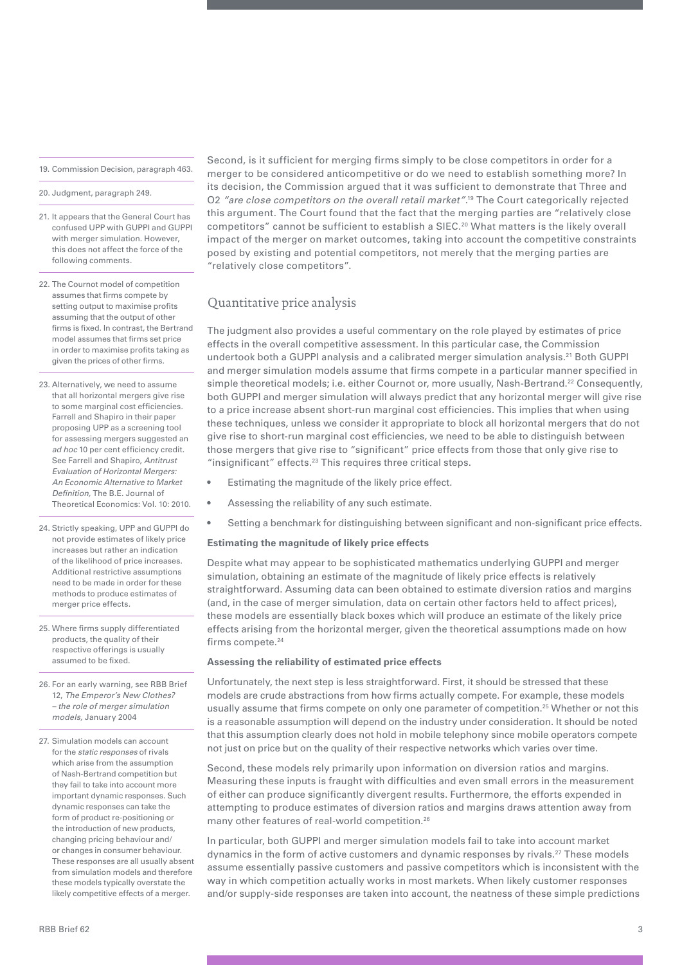19. Commission Decision, paragraph 463.

20. Judgment, paragraph 249.

- 21. It appears that the General Court has confused UPP with GUPPI and GUPPI with merger simulation. However, this does not affect the force of the following comments.
- 22. The Cournot model of competition assumes that firms compete by setting output to maximise profits assuming that the output of other firms is fixed. In contrast, the Bertrand model assumes that firms set price in order to maximise profits taking as given the prices of other firms.
- 23. Alternatively, we need to assume that all horizontal mergers give rise to some marginal cost efficiencies. Farrell and Shapiro in their paper proposing UPP as a screening tool for assessing mergers suggested an *ad hoc* 10 per cent efficiency credit. See Farrell and Shapiro, *Antitrust Evaluation of Horizontal Mergers: An Economic Alternative to Market Definition,* The B.E. Journal of Theoretical Economics: Vol. 10: 2010.
- 24. Strictly speaking, UPP and GUPPI do not provide estimates of likely price increases but rather an indication of the likelihood of price increases. Additional restrictive assumptions need to be made in order for these methods to produce estimates of merger price effects.
- 25. Where firms supply differentiated products, the quality of their respective offerings is usually assumed to be fixed.
- 26. For an early warning, see RBB Brief 12, *The Emperor's New Clothes? – the role of merger simulation models,* January 2004
- 27. Simulation models can account for the *static responses* of rivals which arise from the assumption of Nash-Bertrand competition but they fail to take into account more important dynamic responses. Such dynamic responses can take the form of product re-positioning or the introduction of new products, changing pricing behaviour and/ or changes in consumer behaviour. These responses are all usually absent from simulation models and therefore these models typically overstate the likely competitive effects of a merger.

Second, is it sufficient for merging firms simply to be close competitors in order for a merger to be considered anticompetitive or do we need to establish something more? In its decision, the Commission argued that it was sufficient to demonstrate that Three and O2 *"are close competitors on the overall retail market"*. 19 The Court categorically rejected this argument. The Court found that the fact that the merging parties are "relatively close competitors" cannot be sufficient to establish a SIEC.<sup>20</sup> What matters is the likely overall impact of the merger on market outcomes, taking into account the competitive constraints posed by existing and potential competitors, not merely that the merging parties are "relatively close competitors".

## Quantitative price analysis

The judgment also provides a useful commentary on the role played by estimates of price effects in the overall competitive assessment. In this particular case, the Commission undertook both a GUPPI analysis and a calibrated merger simulation analysis.21 Both GUPPI and merger simulation models assume that firms compete in a particular manner specified in simple theoretical models; i.e. either Cournot or, more usually, Nash-Bertrand.<sup>22</sup> Consequently, both GUPPI and merger simulation will always predict that any horizontal merger will give rise to a price increase absent short-run marginal cost efficiencies. This implies that when using these techniques, unless we consider it appropriate to block all horizontal mergers that do not give rise to short-run marginal cost efficiencies, we need to be able to distinguish between those mergers that give rise to "significant" price effects from those that only give rise to "insignificant" effects.<sup>23</sup> This requires three critical steps.

- Estimating the magnitude of the likely price effect.
- Assessing the reliability of any such estimate.
- Setting a benchmark for distinguishing between significant and non-significant price effects.

#### **Estimating the magnitude of likely price effects**

Despite what may appear to be sophisticated mathematics underlying GUPPI and merger simulation, obtaining an estimate of the magnitude of likely price effects is relatively straightforward. Assuming data can been obtained to estimate diversion ratios and margins (and, in the case of merger simulation, data on certain other factors held to affect prices), these models are essentially black boxes which will produce an estimate of the likely price effects arising from the horizontal merger, given the theoretical assumptions made on how firms compete.<sup>24</sup>

#### **Assessing the reliability of estimated price effects**

Unfortunately, the next step is less straightforward. First, it should be stressed that these models are crude abstractions from how firms actually compete. For example, these models usually assume that firms compete on only one parameter of competition.<sup>25</sup> Whether or not this is a reasonable assumption will depend on the industry under consideration. It should be noted that this assumption clearly does not hold in mobile telephony since mobile operators compete not just on price but on the quality of their respective networks which varies over time.

Second, these models rely primarily upon information on diversion ratios and margins. Measuring these inputs is fraught with difficulties and even small errors in the measurement of either can produce significantly divergent results. Furthermore, the efforts expended in attempting to produce estimates of diversion ratios and margins draws attention away from many other features of real-world competition.26

In particular, both GUPPI and merger simulation models fail to take into account market dynamics in the form of active customers and dynamic responses by rivals.27 These models assume essentially passive customers and passive competitors which is inconsistent with the way in which competition actually works in most markets. When likely customer responses and/or supply-side responses are taken into account, the neatness of these simple predictions